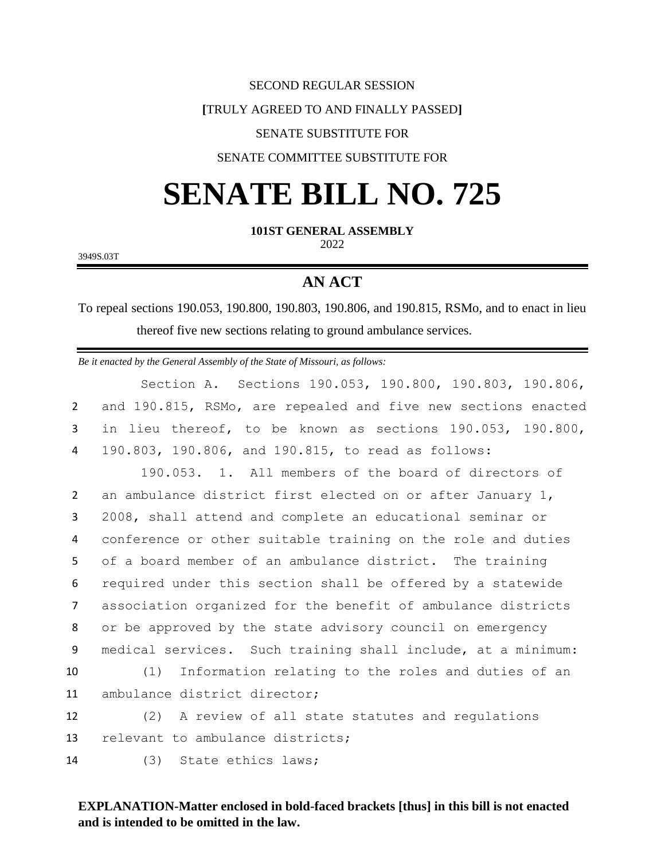#### SECOND REGULAR SESSION

#### **[**TRULY AGREED TO AND FINALLY PASSED**]**

### SENATE SUBSTITUTE FOR

### SENATE COMMITTEE SUBSTITUTE FOR

# **SENATE BILL NO. 725**

**101ST GENERAL ASSEMBLY**

2022

3949S.03T

## **AN ACT**

To repeal sections 190.053, 190.800, 190.803, 190.806, and 190.815, RSMo, and to enact in lieu thereof five new sections relating to ground ambulance services.

*Be it enacted by the General Assembly of the State of Missouri, as follows:* Section A. Sections 190.053, 190.800, 190.803, 190.806, and 190.815, RSMo, are repealed and five new sections enacted in lieu thereof, to be known as sections 190.053, 190.800, 190.803, 190.806, and 190.815, to read as follows: 190.053. 1. All members of the board of directors of an ambulance district first elected on or after January 1, 2008, shall attend and complete an educational seminar or conference or other suitable training on the role and duties of a board member of an ambulance district. The training required under this section shall be offered by a statewide association organized for the benefit of ambulance districts or be approved by the state advisory council on emergency medical services. Such training shall include, at a minimum: (1) Information relating to the roles and duties of an ambulance district director; (2) A review of all state statutes and regulations 13 relevant to ambulance districts; (3) State ethics laws;

## **EXPLANATION-Matter enclosed in bold-faced brackets [thus] in this bill is not enacted and is intended to be omitted in the law.**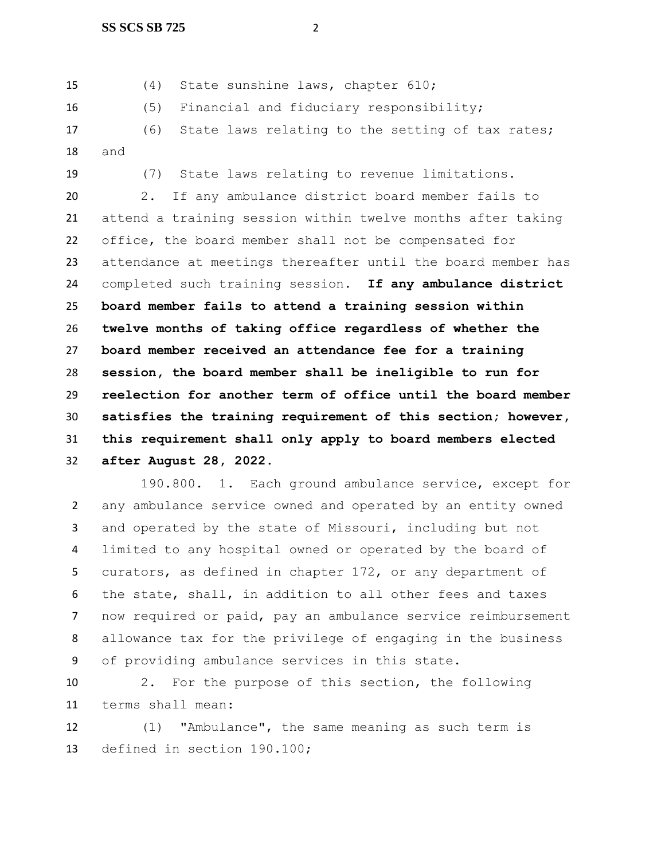(4) State sunshine laws, chapter 610;

(5) Financial and fiduciary responsibility;

 (6) State laws relating to the setting of tax rates; and

(7) State laws relating to revenue limitations.

 2. If any ambulance district board member fails to attend a training session within twelve months after taking office, the board member shall not be compensated for attendance at meetings thereafter until the board member has completed such training session. **If any ambulance district board member fails to attend a training session within twelve months of taking office regardless of whether the board member received an attendance fee for a training session, the board member shall be ineligible to run for reelection for another term of office until the board member satisfies the training requirement of this section; however, this requirement shall only apply to board members elected after August 28, 2022.**

190.800. 1. Each ground ambulance service, except for any ambulance service owned and operated by an entity owned and operated by the state of Missouri, including but not limited to any hospital owned or operated by the board of curators, as defined in chapter 172, or any department of the state, shall, in addition to all other fees and taxes now required or paid, pay an ambulance service reimbursement allowance tax for the privilege of engaging in the business of providing ambulance services in this state.

 2. For the purpose of this section, the following terms shall mean:

 (1) "Ambulance", the same meaning as such term is defined in section 190.100;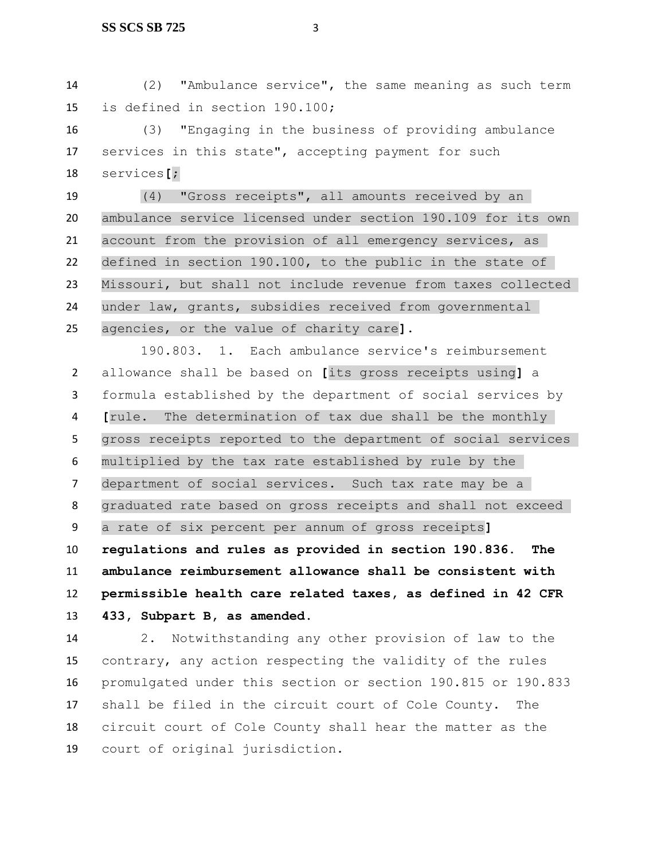(2) "Ambulance service", the same meaning as such term is defined in section 190.100;

 (3) "Engaging in the business of providing ambulance services in this state", accepting payment for such services**[**;

 (4) "Gross receipts", all amounts received by an ambulance service licensed under section 190.109 for its own account from the provision of all emergency services, as defined in section 190.100, to the public in the state of Missouri, but shall not include revenue from taxes collected under law, grants, subsidies received from governmental agencies, or the value of charity care**]**.

190.803. 1. Each ambulance service's reimbursement allowance shall be based on **[**its gross receipts using**]** a formula established by the department of social services by **[**rule. The determination of tax due shall be the monthly gross receipts reported to the department of social services multiplied by the tax rate established by rule by the department of social services. Such tax rate may be a graduated rate based on gross receipts and shall not exceed a rate of six percent per annum of gross receipts**] regulations and rules as provided in section 190.836. The ambulance reimbursement allowance shall be consistent with permissible health care related taxes, as defined in 42 CFR 433, Subpart B, as amended**.

 2. Notwithstanding any other provision of law to the contrary, any action respecting the validity of the rules promulgated under this section or section 190.815 or 190.833 shall be filed in the circuit court of Cole County. The circuit court of Cole County shall hear the matter as the court of original jurisdiction.